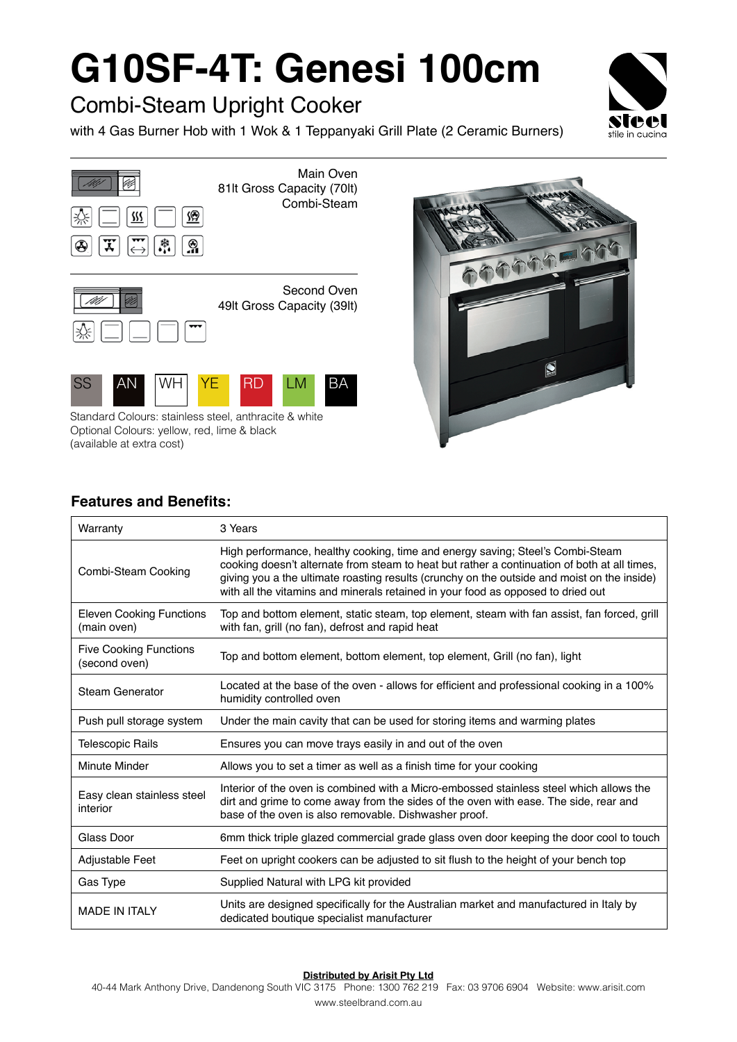# **G10SF-4T: Genesi 100cm**

### Combi-Steam Upright Cooker

with 4 Gas Burner Hob with 1 Wok & 1 Teppanyaki Grill Plate (2 Ceramic Burners)







Standard Colours: stainless steel, anthracite & white Optional Colours: yellow, red, lime & black (available at extra cost)



### **Features and Benefits:**

| Warranty                                       | 3 Years                                                                                                                                                                                                                                                                                                                                                           |
|------------------------------------------------|-------------------------------------------------------------------------------------------------------------------------------------------------------------------------------------------------------------------------------------------------------------------------------------------------------------------------------------------------------------------|
| Combi-Steam Cooking                            | High performance, healthy cooking, time and energy saving; Steel's Combi-Steam<br>cooking doesn't alternate from steam to heat but rather a continuation of both at all times,<br>giving you a the ultimate roasting results (crunchy on the outside and moist on the inside)<br>with all the vitamins and minerals retained in your food as opposed to dried out |
| <b>Eleven Cooking Functions</b><br>(main oven) | Top and bottom element, static steam, top element, steam with fan assist, fan forced, grill<br>with fan, grill (no fan), defrost and rapid heat                                                                                                                                                                                                                   |
| <b>Five Cooking Functions</b><br>(second oven) | Top and bottom element, bottom element, top element, Grill (no fan), light                                                                                                                                                                                                                                                                                        |
| <b>Steam Generator</b>                         | Located at the base of the oven - allows for efficient and professional cooking in a 100%<br>humidity controlled oven                                                                                                                                                                                                                                             |
| Push pull storage system                       | Under the main cavity that can be used for storing items and warming plates                                                                                                                                                                                                                                                                                       |
| <b>Telescopic Rails</b>                        | Ensures you can move trays easily in and out of the oven                                                                                                                                                                                                                                                                                                          |
| Minute Minder                                  | Allows you to set a timer as well as a finish time for your cooking                                                                                                                                                                                                                                                                                               |
| Easy clean stainless steel<br>interior         | Interior of the oven is combined with a Micro-embossed stainless steel which allows the<br>dirt and grime to come away from the sides of the oven with ease. The side, rear and<br>base of the oven is also removable. Dishwasher proof.                                                                                                                          |
| Glass Door                                     | 6mm thick triple glazed commercial grade glass oven door keeping the door cool to touch                                                                                                                                                                                                                                                                           |
| Adjustable Feet                                | Feet on upright cookers can be adjusted to sit flush to the height of your bench top                                                                                                                                                                                                                                                                              |
| Gas Type                                       | Supplied Natural with LPG kit provided                                                                                                                                                                                                                                                                                                                            |
| <b>MADE IN ITALY</b>                           | Units are designed specifically for the Australian market and manufactured in Italy by<br>dedicated boutique specialist manufacturer                                                                                                                                                                                                                              |

#### **Distributed by Arisit Pty Ltd**